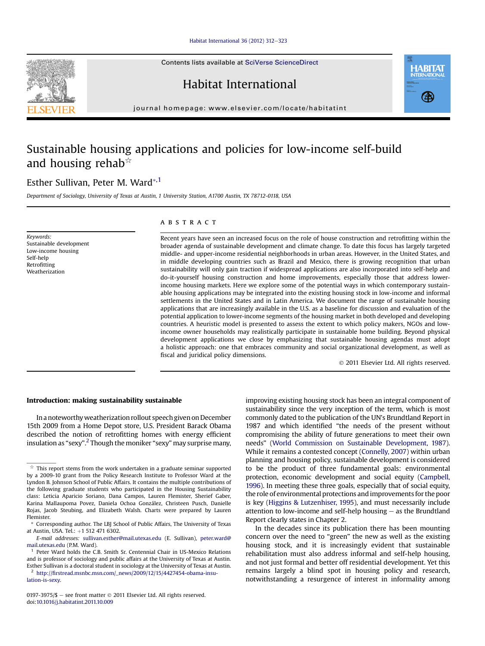#### Habitat International 36  $(2012)$  312-[323](http://dx.doi.org/10.1016/j.habitatint.2011.10.009)

Contents lists available at SciVerse ScienceDirect

Habitat International

journal homepage: [www.elsevier.com/locate/habitatint](http://www.elsevier.com/locate/habitatint)

## Sustainable housing applications and policies for low-income self-build and housing rehab $\alpha$

### Esther Sullivan, Peter M. Ward\*,1

Department of Sociology, University of Texas at Austin, 1 University Station, A1700 Austin, TX 78712-0118, USA

Keywords: Sustainable development Low-income housing Self-help **Retrofitting** Weatherization

#### **ABSTRACT**

Recent years have seen an increased focus on the role of house construction and retrofitting within the broader agenda of sustainable development and climate change. To date this focus has largely targeted middle- and upper-income residential neighborhoods in urban areas. However, in the United States, and in middle developing countries such as Brazil and Mexico, there is growing recognition that urban sustainability will only gain traction if widespread applications are also incorporated into self-help and do-it-yourself housing construction and home improvements, especially those that address lowerincome housing markets. Here we explore some of the potential ways in which contemporary sustainable housing applications may be integrated into the existing housing stock in low-income and informal settlements in the United States and in Latin America. We document the range of sustainable housing applications that are increasingly available in the U.S. as a baseline for discussion and evaluation of the potential application to lower-income segments of the housing market in both developed and developing countries. A heuristic model is presented to assess the extent to which policy makers, NGOs and lowincome owner households may realistically participate in sustainable home building. Beyond physical development applications we close by emphasizing that sustainable housing agendas must adopt a holistic approach: one that embraces community and social organizational development, as well as fiscal and juridical policy dimensions.

2011 Elsevier Ltd. All rights reserved.

#### Introduction: making sustainability sustainable

In a noteworthy weatherization rollout speech given on December 15th 2009 from a Home Depot store, U.S. President Barack Obama described the notion of retrofitting homes with energy efficient insulation as "sexy". <sup>2</sup> Though the moniker "sexy" may surprise many,

<sup>2</sup> http://fi[rstread.msnbc.msn.com/\\_news/2009/12/15/4427454-obama-insu](http://firstread.msnbc.msn.com/_news/2009/12/15/4427454-obama-insulation-is-sexy)[lation-is-sexy.](http://firstread.msnbc.msn.com/_news/2009/12/15/4427454-obama-insulation-is-sexy)

0197-3975/\$ - see front matter  $@$  2011 Elsevier Ltd. All rights reserved. doi:[10.1016/j.habitatint.2011.10.009](http://dx.doi.org/10.1016/j.habitatint.2011.10.009)

improving existing housing stock has been an integral component of sustainability since the very inception of the term, which is most commonly dated to the publication of the UN's Brundtland Report in 1987 and which identified "the needs of the present without compromising the ability of future generations to meet their own needs" (World Commission on Sustainable Development, 1987). While it remains a contested concept (Connelly, 2007) within urban planning and housing policy, sustainable development is considered to be the product of three fundamental goals: environmental protection, economic development and social equity (Campbell, 1996). In meeting these three goals, especially that of social equity, the role of environmental protections and improvements for the poor is key (Higgins & Lutzenhiser, 1995), and must necessarily include attention to low-income and self-help housing  $-$  as the Brundtland Report clearly states in Chapter 2.

In the decades since its publication there has been mounting concern over the need to "green" the new as well as the existing housing stock, and it is increasingly evident that sustainable rehabilitation must also address informal and self-help housing, and not just formal and better off residential development. Yet this remains largely a blind spot in housing policy and research, notwithstanding a resurgence of interest in informality among





 $^\star\!\!{}^{\chi}$  This report stems from the work undertaken in a graduate seminar supported by a 2009-10 grant from the Policy Research Institute to Professor Ward at the Lyndon B. Johnson School of Public Affairs. It contains the multiple contributions of the following graduate students who participated in the Housing Sustainability class: Leticia Aparicio Soriano, Dana Campos, Lauren Flemister, Sherief Gaber, Karina Mallaupoma Povez, Daniela Ochoa González, Christeen Pusch, Danielle Rojas, Jacob Steubing, and Elizabeth Walsh. Charts were prepared by Lauren Flemister.

<sup>\*</sup> Corresponding author. The LBJ School of Public Affairs, The University of Texas at Austin, USA. Tel.: +1 512 471 6302.

E-mail addresses: [sullivan.esther@mail.utexas.edu](mailto:sullivan.esther@mail.utexas.edu) (E. Sullivan), [peter.ward@](mailto:peter.ward@mail.utexas.edu) [mail.utexas.edu](mailto:peter.ward@mail.utexas.edu) (P.M. Ward).

 $<sup>1</sup>$  Peter Ward holds the C.B. Smith Sr. Centennial Chair in US-Mexico Relations</sup> and is professor of sociology and public affairs at the University of Texas at Austin. Esther Sullivan is a doctoral student in sociology at the University of Texas at Austin.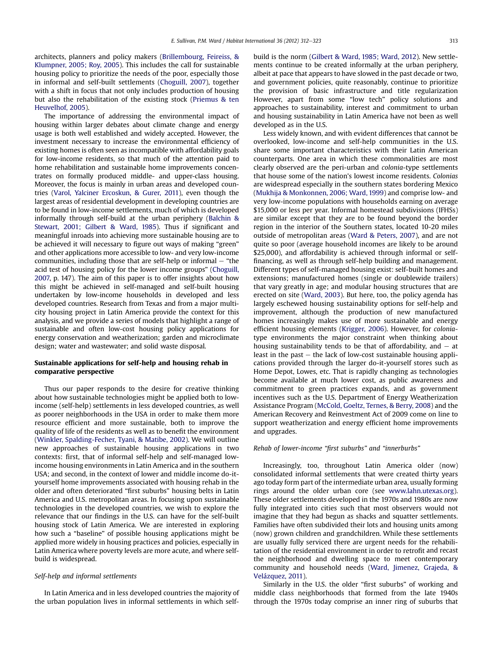architects, planners and policy makers (Brillembourg, Feireiss, & Klumpner, 2005; Roy, 2005). This includes the call for sustainable housing policy to prioritize the needs of the poor, especially those in informal and self-built settlements (Choguill, 2007), together with a shift in focus that not only includes production of housing but also the rehabilitation of the existing stock (Priemus & ten Heuvelhof, 2005).

The importance of addressing the environmental impact of housing within larger debates about climate change and energy usage is both well established and widely accepted. However, the investment necessary to increase the environmental efficiency of existing homes is often seen as incompatible with affordability goals for low-income residents, so that much of the attention paid to home rehabilitation and sustainable home improvements concentrates on formally produced middle- and upper-class housing. Moreover, the focus is mainly in urban areas and developed countries (Varol, Yalciner Ercoskun, & Gurer, 2011), even though the largest areas of residential development in developing countries are to be found in low-income settlements, much of which is developed informally through self-build at the urban periphery (Balchin & Stewart, 2001; Gilbert & Ward, 1985). Thus if significant and meaningful inroads into achieving more sustainable housing are to be achieved it will necessary to figure out ways of making "green" and other applications more accessible to low- and very low-income communities, including those that are self-help or informal  $-$  "the acid test of housing policy for the lower income groups" (Choguill, 2007, p. 147). The aim of this paper is to offer insights about how this might be achieved in self-managed and self-built housing undertaken by low-income households in developed and less developed countries. Research from Texas and from a major multicity housing project in Latin America provide the context for this analysis, and we provide a series of models that highlight a range of sustainable and often low-cost housing policy applications for energy conservation and weatherization; garden and microclimate design; water and wastewater; and solid waste disposal.

#### Sustainable applications for self-help and housing rehab in comparative perspective

Thus our paper responds to the desire for creative thinking about how sustainable technologies might be applied both to lowincome (self-help) settlements in less developed countries, as well as poorer neighborhoods in the USA in order to make them more resource efficient and more sustainable, both to improve the quality of life of the residents as well as to benefit the environment (Winkler, Spalding-Fecher, Tyani, & Matibe, 2002). We will outline new approaches of sustainable housing applications in two contexts: first, that of informal self-help and self-managed lowincome housing environments in Latin America and in the southern USA; and second, in the context of lower and middle income do-ityourself home improvements associated with housing rehab in the older and often deteriorated "first suburbs" housing belts in Latin America and U.S. metropolitan areas. In focusing upon sustainable technologies in the developed countries, we wish to explore the relevance that our findings in the U.S. can have for the self-built housing stock of Latin America. We are interested in exploring how such a "baseline" of possible housing applications might be applied more widely in housing practices and policies, especially in Latin America where poverty levels are more acute, and where selfbuild is widespread.

#### Self-help and informal settlements

In Latin America and in less developed countries the majority of the urban population lives in informal settlements in which selfbuild is the norm (Gilbert & Ward, 1985; Ward, 2012). New settlements continue to be created informally at the urban periphery, albeit at pace that appears to have slowed in the past decade or two, and government policies, quite reasonably, continue to prioritize the provision of basic infrastructure and title regularization However, apart from some "low tech" policy solutions and approaches to sustainability, interest and commitment to urban and housing sustainability in Latin America have not been as well developed as in the U.S.

Less widely known, and with evident differences that cannot be overlooked, low-income and self-help communities in the U.S. share some important characteristics with their Latin American counterparts. One area in which these commonalities are most clearly observed are the peri-urban and colonia-type settlements that house some of the nation's lowest income residents. Colonias are widespread especially in the southern states bordering Mexico (Mukhija & Monkonnen, 2006; Ward, 1999) and comprise low- and very low-income populations with households earning on average \$15,000 or less per year. Informal homestead subdivisions (IFHSs) are similar except that they are to be found beyond the border region in the interior of the Southern states, located 10-20 miles outside of metropolitan areas (Ward & Peters, 2007), and are not quite so poor (average household incomes are likely to be around \$25,000), and affordability is achieved through informal or selffinancing, as well as through self-help building and management. Different types of self-managed housing exist: self-built homes and extensions; manufactured homes (single or doublewide trailers) that vary greatly in age; and modular housing structures that are erected on site (Ward, 2003). But here, too, the policy agenda has largely eschewed housing sustainability options for self-help and improvement, although the production of new manufactured homes increasingly makes use of more sustainable and energy efficient housing elements (Krigger, 2006). However, for coloniatype environments the major constraint when thinking about housing sustainability tends to be that of affordability, and  $-$  at least in the past  $-$  the lack of low-cost sustainable housing applications provided through the larger do-it-yourself stores such as Home Depot, Lowes, etc. That is rapidly changing as technologies become available at much lower cost, as public awareness and commitment to green practices expands, and as government incentives such as the U.S. Department of Energy Weatherization Assistance Program (McCold, Goeltz, Ternes, & Berry, 2008) and the American Recovery and Reinvestment Act of 2009 come on line to support weatherization and energy efficient home improvements and upgrades.

#### Rehab of lower-income "first suburbs" and "innerburbs"

Increasingly, too, throughout Latin America older (now) consolidated informal settlements that were created thirty years ago today form part of the intermediate urban area, usually forming rings around the older urban core (see [www.lahn.utexas.org\)](http://www.lahn.utexas.org). These older settlements developed in the 1970s and 1980s are now fully integrated into cities such that most observers would not imagine that they had begun as shacks and squatter settlements. Families have often subdivided their lots and housing units among (now) grown children and grandchildren. While these settlements are usually fully serviced there are urgent needs for the rehabilitation of the residential environment in order to retrofit and recast the neighborhood and dwelling space to meet contemporary community and household needs (Ward, Jimenez, Grajeda, & Velázquez, 2011).

Similarly in the U.S. the older "first suburbs" of working and middle class neighborhoods that formed from the late 1940s through the 1970s today comprise an inner ring of suburbs that